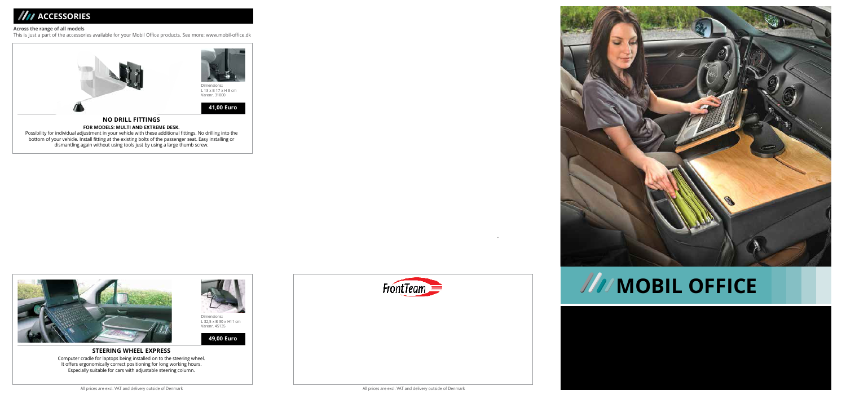## *M* ACCESSORIES

#### **Across the range of all models**

This is just a part of the accessories available for your Mobil Office products. See more: www.mobil-office.dk





# **MOBIL OFFICE**







.

### **STEERING WHEEL EXPRESS**

Computer cradle for laptops being installed on to the steering wheel. It offers ergonomically correct positioning for long working hours. Especially suitable for cars with adjustable steering column.





Dimensions**:** L 32,5 x B 30 x H11 cm Varenr. 45135